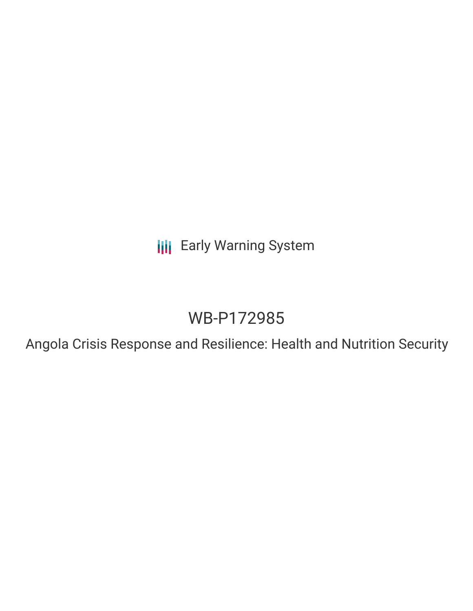**III** Early Warning System

# WB-P172985

Angola Crisis Response and Resilience: Health and Nutrition Security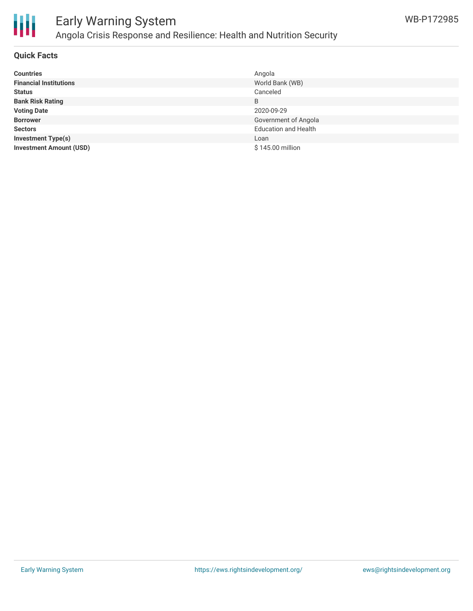

### Early Warning System Angola Crisis Response and Resilience: Health and Nutrition Security

#### **Quick Facts**

| <b>Countries</b>               | Angola                      |
|--------------------------------|-----------------------------|
| <b>Financial Institutions</b>  | World Bank (WB)             |
| <b>Status</b>                  | Canceled                    |
| <b>Bank Risk Rating</b>        | B                           |
| <b>Voting Date</b>             | 2020-09-29                  |
| <b>Borrower</b>                | Government of Angola        |
| <b>Sectors</b>                 | <b>Education and Health</b> |
| <b>Investment Type(s)</b>      | Loan                        |
| <b>Investment Amount (USD)</b> | \$145.00 million            |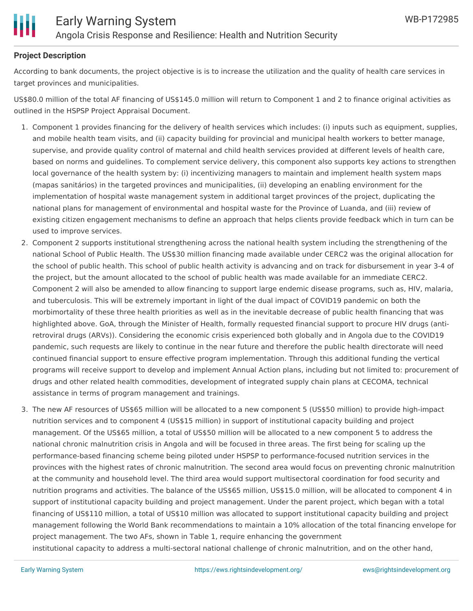

#### **Project Description**

According to bank documents, the project objective is is to increase the utilization and the quality of health care services in target provinces and municipalities.

US\$80.0 million of the total AF financing of US\$145.0 million will return to Component 1 and 2 to finance original activities as outlined in the HSPSP Project Appraisal Document.

- 1. Component 1 provides financing for the delivery of health services which includes: (i) inputs such as equipment, supplies, and mobile health team visits, and (ii) capacity building for provincial and municipal health workers to better manage, supervise, and provide quality control of maternal and child health services provided at different levels of health care, based on norms and guidelines. To complement service delivery, this component also supports key actions to strengthen local governance of the health system by: (i) incentivizing managers to maintain and implement health system maps (mapas sanitários) in the targeted provinces and municipalities, (ii) developing an enabling environment for the implementation of hospital waste management system in additional target provinces of the project, duplicating the national plans for management of environmental and hospital waste for the Province of Luanda, and (iii) review of existing citizen engagement mechanisms to define an approach that helps clients provide feedback which in turn can be used to improve services.
- 2. Component 2 supports institutional strengthening across the national health system including the strengthening of the national School of Public Health. The US\$30 million financing made available under CERC2 was the original allocation for the school of public health. This school of public health activity is advancing and on track for disbursement in year 3-4 of the project, but the amount allocated to the school of public health was made available for an immediate CERC2. Component 2 will also be amended to allow financing to support large endemic disease programs, such as, HIV, malaria, and tuberculosis. This will be extremely important in light of the dual impact of COVID19 pandemic on both the morbimortality of these three health priorities as well as in the inevitable decrease of public health financing that was highlighted above. GoA, through the Minister of Health, formally requested financial support to procure HIV drugs (antiretroviral drugs (ARVs)). Considering the economic crisis experienced both globally and in Angola due to the COVID19 pandemic, such requests are likely to continue in the near future and therefore the public health directorate will need continued financial support to ensure effective program implementation. Through this additional funding the vertical programs will receive support to develop and implement Annual Action plans, including but not limited to: procurement of drugs and other related health commodities, development of integrated supply chain plans at CECOMA, technical assistance in terms of program management and trainings.
- 3. The new AF resources of US\$65 million will be allocated to a new component 5 (US\$50 million) to provide high-impact nutrition services and to component 4 (US\$15 million) in support of institutional capacity building and project management. Of the US\$65 million, a total of US\$50 million will be allocated to a new component 5 to address the national chronic malnutrition crisis in Angola and will be focused in three areas. The first being for scaling up the performance-based financing scheme being piloted under HSPSP to performance-focused nutrition services in the provinces with the highest rates of chronic malnutrition. The second area would focus on preventing chronic malnutrition at the community and household level. The third area would support multisectoral coordination for food security and nutrition programs and activities. The balance of the US\$65 million, US\$15.0 million, will be allocated to component 4 in support of institutional capacity building and project management. Under the parent project, which began with a total financing of US\$110 million, a total of US\$10 million was allocated to support institutional capacity building and project management following the World Bank recommendations to maintain a 10% allocation of the total financing envelope for project management. The two AFs, shown in Table 1, require enhancing the government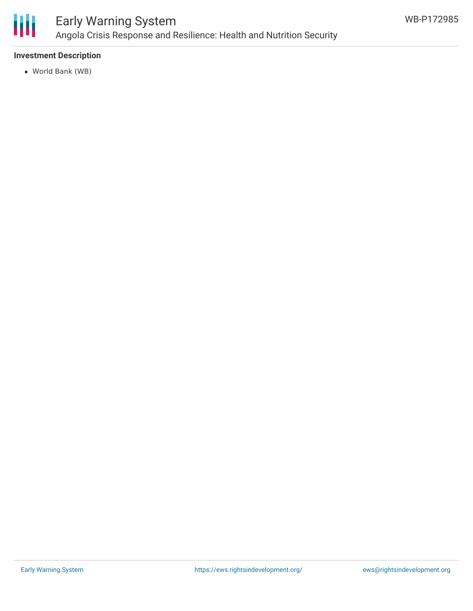

## Early Warning System Angola Crisis Response and Resilience: Health and Nutrition Security

#### **Investment Description**

World Bank (WB)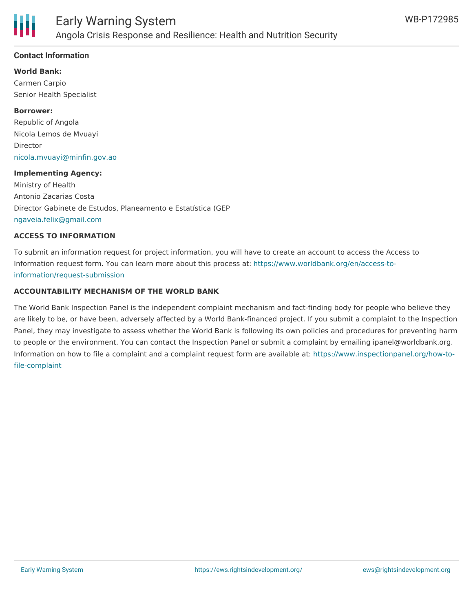

#### **Contact Information**

**World Bank:**

Carmen Carpio Senior Health Specialist

#### **Borrower:**

Republic of Angola Nicola Lemos de Mvuayi Director [nicola.mvuayi@minfin.gov.ao](mailto:nicola.mvuayi@minfin.gov.ao)

#### **Implementing Agency:**

Ministry of Health Antonio Zacarias Costa Director Gabinete de Estudos, Planeamento e Estatística (GEP [ngaveia.felix@gmail.com](mailto:ngaveia.felix@gmail.com)

#### **ACCESS TO INFORMATION**

To submit an information request for project information, you will have to create an account to access the Access to Information request form. You can learn more about this process at: [https://www.worldbank.org/en/access-to](https://www.worldbank.org/en/access-to-information/request-submission)information/request-submission

#### **ACCOUNTABILITY MECHANISM OF THE WORLD BANK**

The World Bank Inspection Panel is the independent complaint mechanism and fact-finding body for people who believe they are likely to be, or have been, adversely affected by a World Bank-financed project. If you submit a complaint to the Inspection Panel, they may investigate to assess whether the World Bank is following its own policies and procedures for preventing harm to people or the environment. You can contact the Inspection Panel or submit a complaint by emailing ipanel@worldbank.org. Information on how to file a complaint and a complaint request form are available at: [https://www.inspectionpanel.org/how-to](https://www.inspectionpanel.org/how-to-file-complaint)file-complaint